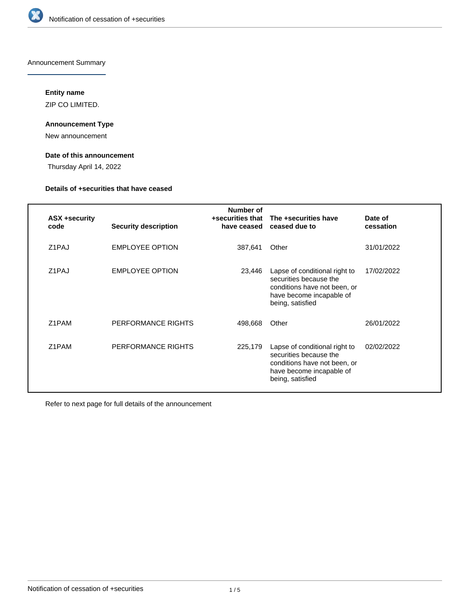

Announcement Summary

# **Entity name**

ZIP CO LIMITED.

# **Announcement Type**

New announcement

# **Date of this announcement**

Thursday April 14, 2022

# **Details of +securities that have ceased**

| ASX +security<br>code | <b>Security description</b> | Number of<br>+securities that<br>have ceased | The +securities have<br>ceased due to                                                                                                   | Date of<br>cessation |
|-----------------------|-----------------------------|----------------------------------------------|-----------------------------------------------------------------------------------------------------------------------------------------|----------------------|
| Z1PAJ                 | <b>EMPLOYEE OPTION</b>      | 387,641                                      | Other                                                                                                                                   | 31/01/2022           |
| Z1PAJ                 | <b>EMPLOYEE OPTION</b>      | 23,446                                       | Lapse of conditional right to<br>securities because the<br>conditions have not been, or<br>have become incapable of<br>being, satisfied | 17/02/2022           |
| Z1PAM                 | PERFORMANCE RIGHTS          | 498,668                                      | Other                                                                                                                                   | 26/01/2022           |
| Z1PAM                 | PERFORMANCE RIGHTS          | 225,179                                      | Lapse of conditional right to<br>securities because the<br>conditions have not been, or<br>have become incapable of<br>being, satisfied | 02/02/2022           |

Refer to next page for full details of the announcement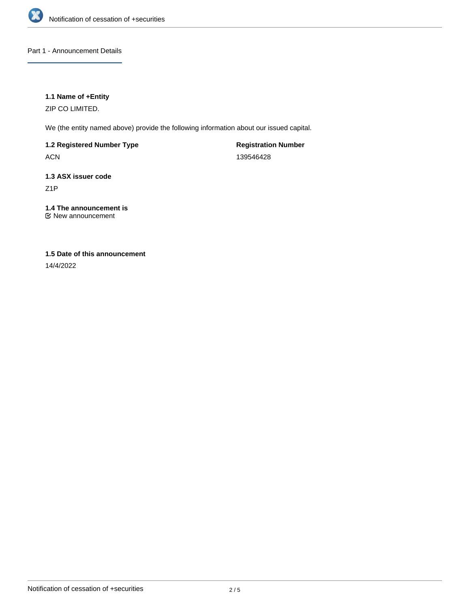

# Part 1 - Announcement Details

# **1.1 Name of +Entity**

ZIP CO LIMITED.

We (the entity named above) provide the following information about our issued capital.

**1.2 Registered Number Type**

ACN

**Registration Number** 139546428

**1.3 ASX issuer code** Z1P

**1.4 The announcement is** New announcement

# **1.5 Date of this announcement**

14/4/2022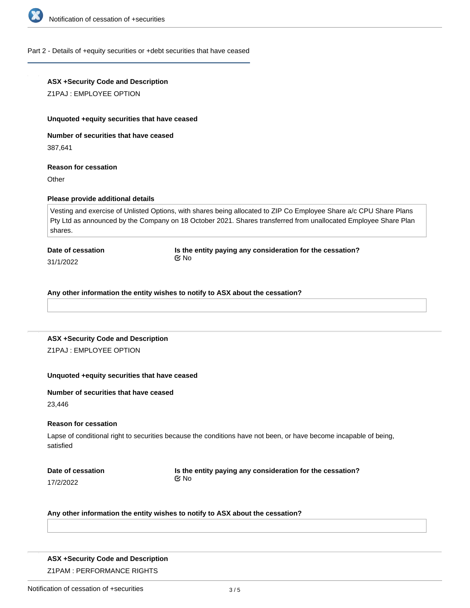

### Part 2 - Details of +equity securities or +debt securities that have ceased

# **ASX +Security Code and Description**

Z1PAJ : EMPLOYEE OPTION

#### **Unquoted +equity securities that have ceased**

**Number of securities that have ceased**

387,641

#### **Reason for cessation**

**Other** 

### **Please provide additional details**

Vesting and exercise of Unlisted Options, with shares being allocated to ZIP Co Employee Share a/c CPU Share Plans Pty Ltd as announced by the Company on 18 October 2021. Shares transferred from unallocated Employee Share Plan shares.

#### **Date of cessation**

31/1/2022

**Is the entity paying any consideration for the cessation?** No

#### **Any other information the entity wishes to notify to ASX about the cessation?**

# **ASX +Security Code and Description** Z1PAJ : EMPLOYEE OPTION

# **Unquoted +equity securities that have ceased**

# **Number of securities that have ceased**

23,446

### **Reason for cessation**

Lapse of conditional right to securities because the conditions have not been, or have become incapable of being, satisfied

17/2/2022

**Is the entity paying any consideration for the cessation?** No

#### **Any other information the entity wishes to notify to ASX about the cessation?**

### **ASX +Security Code and Description**

Z1PAM : PERFORMANCE RIGHTS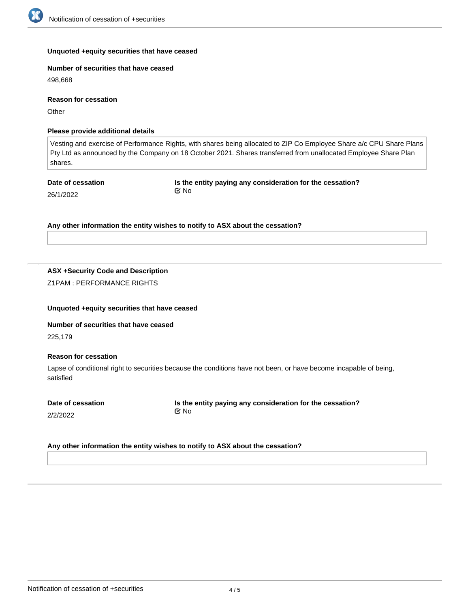

### **Unquoted +equity securities that have ceased**

**Number of securities that have ceased**

498,668

**Reason for cessation**

**Other** 

# **Please provide additional details**

Vesting and exercise of Performance Rights, with shares being allocated to ZIP Co Employee Share a/c CPU Share Plans Pty Ltd as announced by the Company on 18 October 2021. Shares transferred from unallocated Employee Share Plan shares.

**Date of cessation** 26/1/2022

**Is the entity paying any consideration for the cessation?** No

**Any other information the entity wishes to notify to ASX about the cessation?**

### **ASX +Security Code and Description**

Z1PAM : PERFORMANCE RIGHTS

### **Unquoted +equity securities that have ceased**

**Number of securities that have ceased** 225,179

### **Reason for cessation**

Lapse of conditional right to securities because the conditions have not been, or have become incapable of being, satisfied

**Date of cessation**

2/2/2022

#### **Is the entity paying any consideration for the cessation?** No

### **Any other information the entity wishes to notify to ASX about the cessation?**